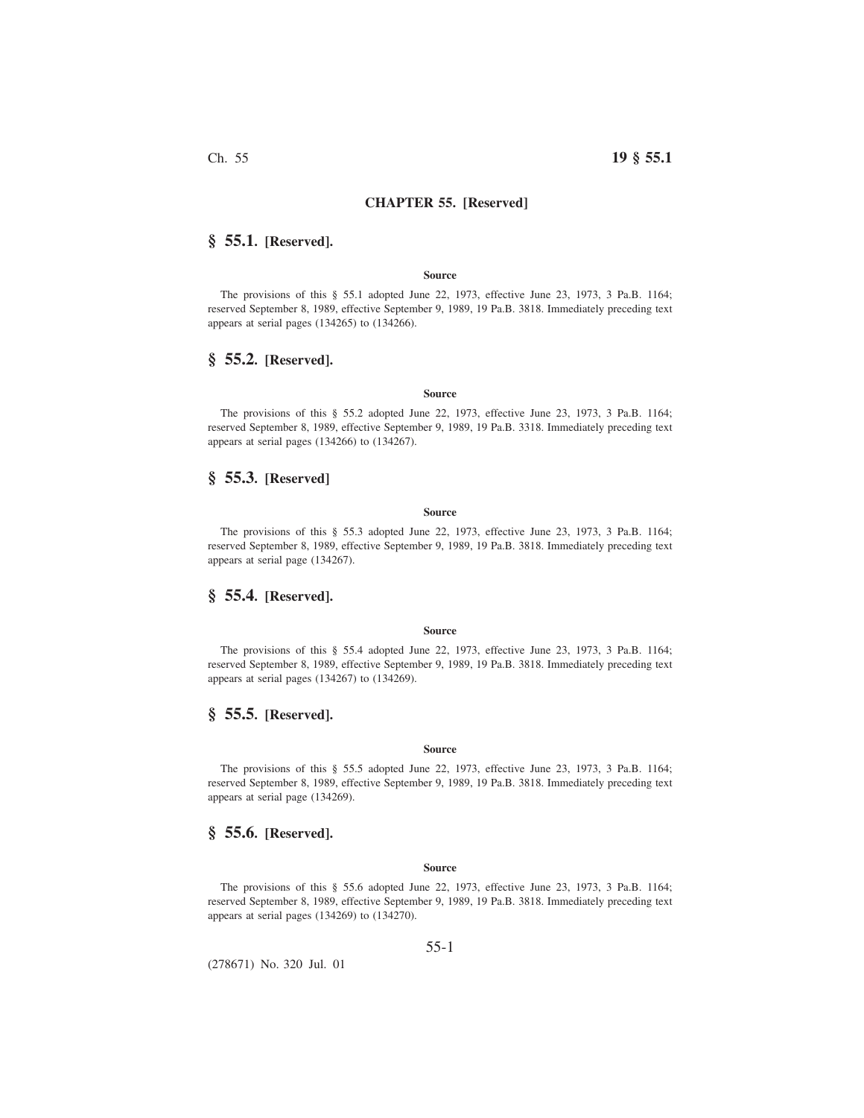## **CHAPTER 55. [Reserved]**

# **§ 55.1. [Reserved].**

#### **Source**

The provisions of this § 55.1 adopted June 22, 1973, effective June 23, 1973, 3 Pa.B. 1164; reserved September 8, 1989, effective September 9, 1989, 19 Pa.B. 3818. Immediately preceding text appears at serial pages (134265) to (134266).

# **§ 55.2. [Reserved].**

#### **Source**

The provisions of this § 55.2 adopted June 22, 1973, effective June 23, 1973, 3 Pa.B. 1164; reserved September 8, 1989, effective September 9, 1989, 19 Pa.B. 3318. Immediately preceding text appears at serial pages (134266) to (134267).

# **§ 55.3. [Reserved]**

#### **Source**

The provisions of this § 55.3 adopted June 22, 1973, effective June 23, 1973, 3 Pa.B. 1164; reserved September 8, 1989, effective September 9, 1989, 19 Pa.B. 3818. Immediately preceding text appears at serial page (134267).

## **§ 55.4. [Reserved].**

#### **Source**

The provisions of this § 55.4 adopted June 22, 1973, effective June 23, 1973, 3 Pa.B. 1164; reserved September 8, 1989, effective September 9, 1989, 19 Pa.B. 3818. Immediately preceding text appears at serial pages (134267) to (134269).

# **§ 55.5. [Reserved].**

#### **Source**

The provisions of this § 55.5 adopted June 22, 1973, effective June 23, 1973, 3 Pa.B. 1164; reserved September 8, 1989, effective September 9, 1989, 19 Pa.B. 3818. Immediately preceding text appears at serial page (134269).

# **§ 55.6. [Reserved].**

#### **Source**

The provisions of this § 55.6 adopted June 22, 1973, effective June 23, 1973, 3 Pa.B. 1164; reserved September 8, 1989, effective September 9, 1989, 19 Pa.B. 3818. Immediately preceding text appears at serial pages (134269) to (134270).

55-1

(278671) No. 320 Jul. 01